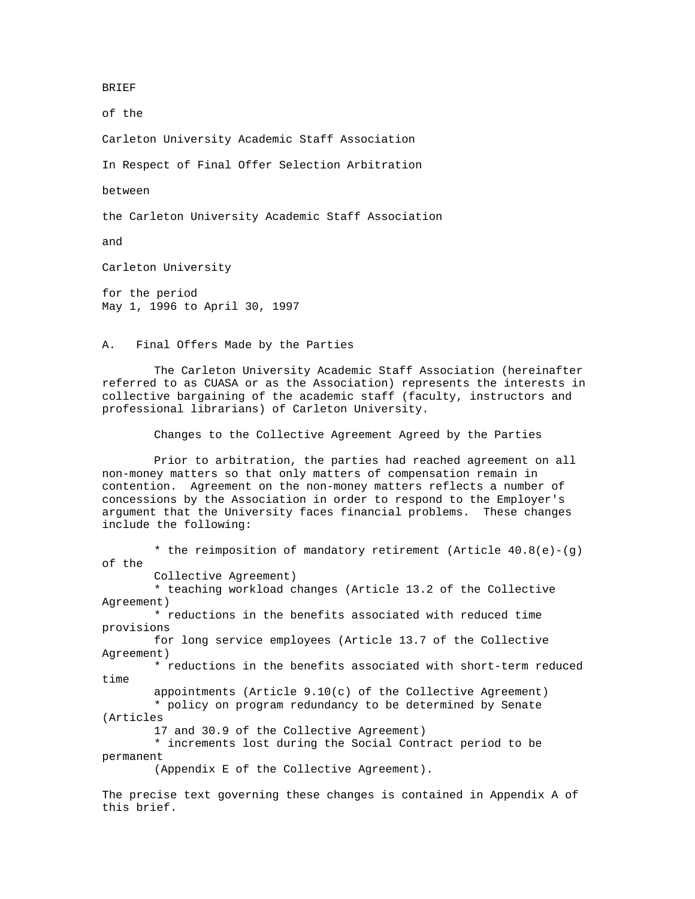BRIEF

of the

Carleton University Academic Staff Association

In Respect of Final Offer Selection Arbitration

between

the Carleton University Academic Staff Association

and

Carleton University

for the period May 1, 1996 to April 30, 1997

A. Final Offers Made by the Parties

 The Carleton University Academic Staff Association (hereinafter referred to as CUASA or as the Association) represents the interests in collective bargaining of the academic staff (faculty, instructors and professional librarians) of Carleton University.

Changes to the Collective Agreement Agreed by the Parties

 Prior to arbitration, the parties had reached agreement on all non-money matters so that only matters of compensation remain in contention. Agreement on the non-money matters reflects a number of concessions by the Association in order to respond to the Employer's argument that the University faces financial problems. These changes include the following:

\* the reimposition of mandatory retirement (Article  $40.8(e) - (q)$ ) of the Collective Agreement) \* teaching workload changes (Article 13.2 of the Collective Agreement) \* reductions in the benefits associated with reduced time provisions for long service employees (Article 13.7 of the Collective Agreement) \* reductions in the benefits associated with short-term reduced time appointments (Article 9.10(c) of the Collective Agreement) \* policy on program redundancy to be determined by Senate (Articles 17 and 30.9 of the Collective Agreement) \* increments lost during the Social Contract period to be permanent (Appendix E of the Collective Agreement).

The precise text governing these changes is contained in Appendix A of this brief.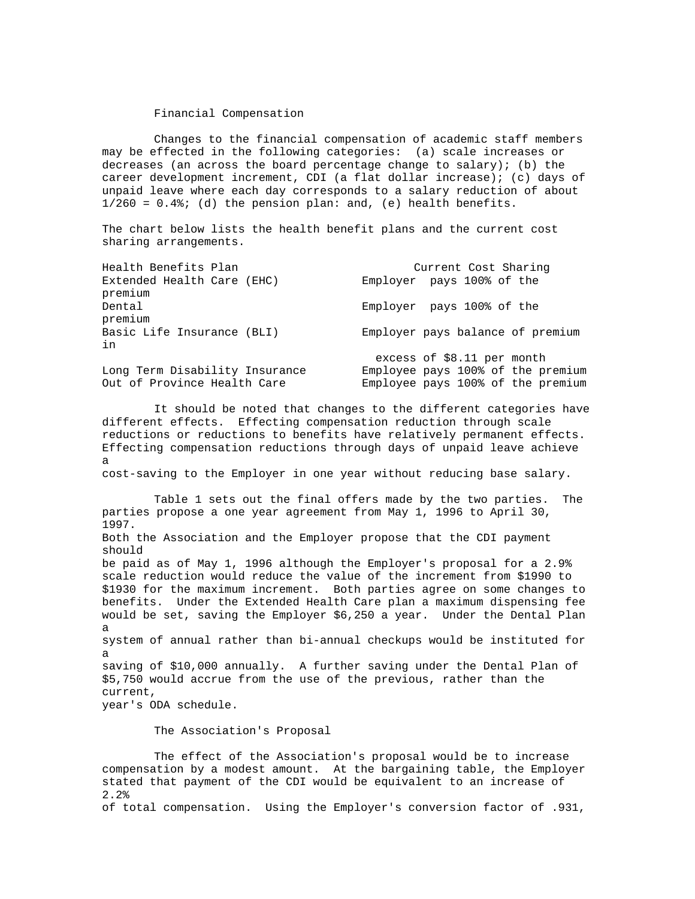#### Financial Compensation

 Changes to the financial compensation of academic staff members may be effected in the following categories: (a) scale increases or decreases (an across the board percentage change to salary); (b) the career development increment, CDI (a flat dollar increase); (c) days of unpaid leave where each day corresponds to a salary reduction of about  $1/260 = 0.4$ ; (d) the pension plan: and, (e) health benefits.

The chart below lists the health benefit plans and the current cost sharing arrangements.

| Health Benefits Plan                  | Current Cost Sharing              |
|---------------------------------------|-----------------------------------|
| Extended Health Care (EHC)<br>premium | Employer pays 100% of the         |
| Dental<br>premium                     | Employer pays 100% of the         |
| Basic Life Insurance (BLI)<br>in      | Employer pays balance of premium  |
|                                       | excess of $$8.11$ per month       |
| Long Term Disability Insurance        | Employee pays 100% of the premium |
| Out of Province Health Care           | Employee pays 100% of the premium |

 It should be noted that changes to the different categories have different effects. Effecting compensation reduction through scale reductions or reductions to benefits have relatively permanent effects. Effecting compensation reductions through days of unpaid leave achieve a cost-saving to the Employer in one year without reducing base salary.

 Table 1 sets out the final offers made by the two parties. The parties propose a one year agreement from May 1, 1996 to April 30, 1997. Both the Association and the Employer propose that the CDI payment should be paid as of May 1, 1996 although the Employer's proposal for a 2.9% scale reduction would reduce the value of the increment from \$1990 to \$1930 for the maximum increment. Both parties agree on some changes to benefits. Under the Extended Health Care plan a maximum dispensing fee would be set, saving the Employer \$6,250 a year. Under the Dental Plan a system of annual rather than bi-annual checkups would be instituted for a saving of \$10,000 annually. A further saving under the Dental Plan of \$5,750 would accrue from the use of the previous, rather than the current, year's ODA schedule.

The Association's Proposal

 The effect of the Association's proposal would be to increase compensation by a modest amount. At the bargaining table, the Employer stated that payment of the CDI would be equivalent to an increase of 2.2% of total compensation. Using the Employer's conversion factor of .931,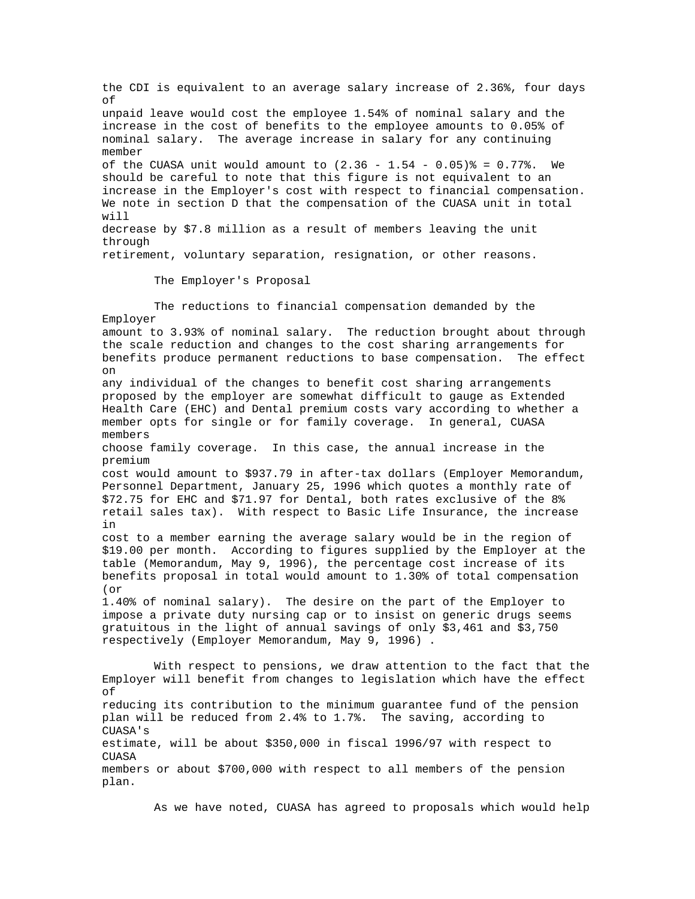the CDI is equivalent to an average salary increase of 2.36%, four days of unpaid leave would cost the employee 1.54% of nominal salary and the increase in the cost of benefits to the employee amounts to 0.05% of nominal salary. The average increase in salary for any continuing member of the CUASA unit would amount to  $(2.36 - 1.54 - 0.05)\$  = 0.77%. We should be careful to note that this figure is not equivalent to an increase in the Employer's cost with respect to financial compensation. We note in section D that the compensation of the CUASA unit in total will decrease by \$7.8 million as a result of members leaving the unit through retirement, voluntary separation, resignation, or other reasons. The Employer's Proposal The reductions to financial compensation demanded by the Employer amount to 3.93% of nominal salary. The reduction brought about through the scale reduction and changes to the cost sharing arrangements for benefits produce permanent reductions to base compensation. The effect on any individual of the changes to benefit cost sharing arrangements proposed by the employer are somewhat difficult to gauge as Extended Health Care (EHC) and Dental premium costs vary according to whether a member opts for single or for family coverage. In general, CUASA members choose family coverage. In this case, the annual increase in the premium cost would amount to \$937.79 in after-tax dollars (Employer Memorandum, Personnel Department, January 25, 1996 which quotes a monthly rate of \$72.75 for EHC and \$71.97 for Dental, both rates exclusive of the 8% retail sales tax). With respect to Basic Life Insurance, the increase in cost to a member earning the average salary would be in the region of \$19.00 per month. According to figures supplied by the Employer at the table (Memorandum, May 9, 1996), the percentage cost increase of its benefits proposal in total would amount to 1.30% of total compensation (or 1.40% of nominal salary). The desire on the part of the Employer to impose a private duty nursing cap or to insist on generic drugs seems gratuitous in the light of annual savings of only \$3,461 and \$3,750 respectively (Employer Memorandum, May 9, 1996) . With respect to pensions, we draw attention to the fact that the Employer will benefit from changes to legislation which have the effect of reducing its contribution to the minimum guarantee fund of the pension plan will be reduced from 2.4% to 1.7%. The saving, according to CUASA's estimate, will be about \$350,000 in fiscal 1996/97 with respect to CUASA members or about \$700,000 with respect to all members of the pension plan.

As we have noted, CUASA has agreed to proposals which would help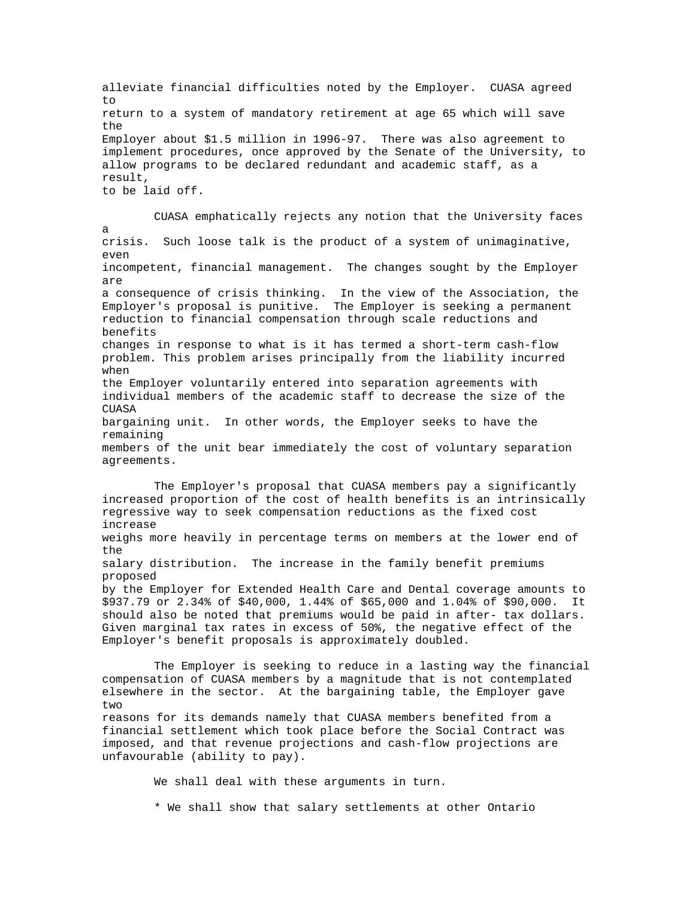alleviate financial difficulties noted by the Employer. CUASA agreed  $t \circ$ return to a system of mandatory retirement at age 65 which will save the Employer about \$1.5 million in 1996-97. There was also agreement to implement procedures, once approved by the Senate of the University, to allow programs to be declared redundant and academic staff, as a result, to be laid off. CUASA emphatically rejects any notion that the University faces a

crisis. Such loose talk is the product of a system of unimaginative, even

incompetent, financial management. The changes sought by the Employer are

a consequence of crisis thinking. In the view of the Association, the Employer's proposal is punitive. The Employer is seeking a permanent reduction to financial compensation through scale reductions and benefits changes in response to what is it has termed a short-term cash-flow problem. This problem arises principally from the liability incurred when the Employer voluntarily entered into separation agreements with

individual members of the academic staff to decrease the size of the **CUASA** 

bargaining unit. In other words, the Employer seeks to have the remaining

members of the unit bear immediately the cost of voluntary separation agreements.

 The Employer's proposal that CUASA members pay a significantly increased proportion of the cost of health benefits is an intrinsically regressive way to seek compensation reductions as the fixed cost increase weighs more heavily in percentage terms on members at the lower end of the salary distribution. The increase in the family benefit premiums proposed by the Employer for Extended Health Care and Dental coverage amounts to \$937.79 or 2.34% of \$40,000, 1.44% of \$65,000 and 1.04% of \$90,000. It should also be noted that premiums would be paid in after- tax dollars. Given marginal tax rates in excess of 50%, the negative effect of the Employer's benefit proposals is approximately doubled.

 The Employer is seeking to reduce in a lasting way the financial compensation of CUASA members by a magnitude that is not contemplated elsewhere in the sector. At the bargaining table, the Employer gave two reasons for its demands namely that CUASA members benefited from a financial settlement which took place before the Social Contract was imposed, and that revenue projections and cash-flow projections are unfavourable (ability to pay).

We shall deal with these arguments in turn.

\* We shall show that salary settlements at other Ontario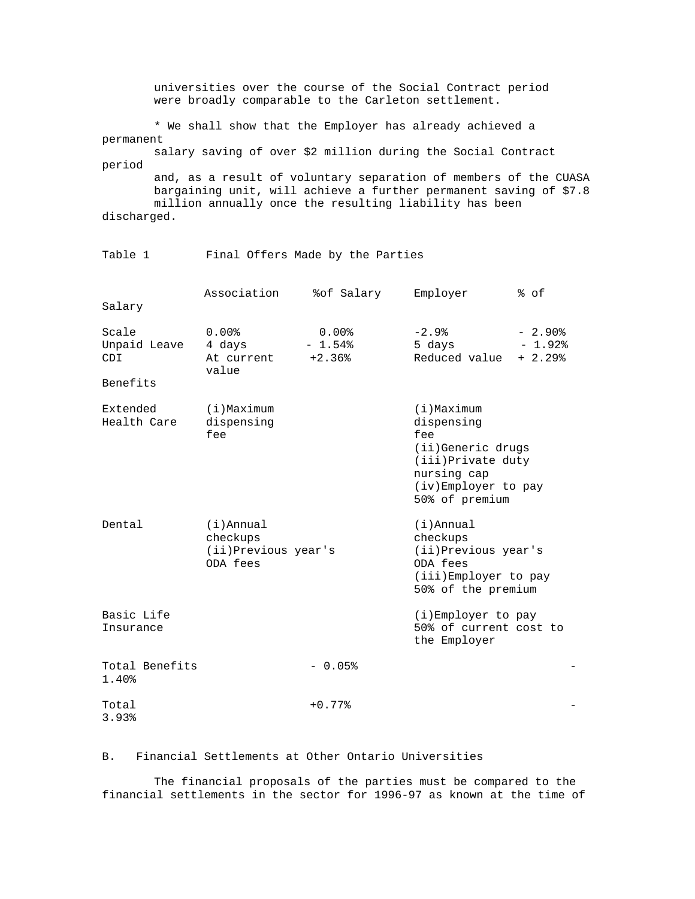universities over the course of the Social Contract period were broadly comparable to the Carleton settlement.

 \* We shall show that the Employer has already achieved a permanent

 salary saving of over \$2 million during the Social Contract period

 and, as a result of voluntary separation of members of the CUASA bargaining unit, will achieve a further permanent saving of \$7.8 million annually once the resulting liability has been discharged.

## Table 1 Final Offers Made by the Parties

|                                          | Association                                                 | %of Salary                       | Employer                                                                                                                              | % of                                         |
|------------------------------------------|-------------------------------------------------------------|----------------------------------|---------------------------------------------------------------------------------------------------------------------------------------|----------------------------------------------|
| Salary                                   |                                                             |                                  |                                                                                                                                       |                                              |
| Scale<br>Unpaid Leave<br>CDI<br>Benefits | $0.00$ $8$<br>4 days<br>At current<br>value                 | $0.00$ %<br>$-1.54%$<br>$+2.36%$ | $-2.9%$<br>5 days<br>Reduced value                                                                                                    | $-2.90$ <sup>8</sup><br>$-1.92%$<br>$+2.29%$ |
| Extended<br>Health Care                  | $(i)$ Maximum<br>dispensing<br>fee                          |                                  | $(i)$ Maximum<br>dispensing<br>fee<br>(ii)Generic drugs<br>(iii) Private duty<br>nursing cap<br>(iv)Employer to pay<br>50% of premium |                                              |
| Dental                                   | $(i)$ Annual<br>checkups<br>(ii)Previous year's<br>ODA fees |                                  | $(i)$ Annual<br>checkups<br>(ii) Previous year's<br>ODA fees<br>(iii)Employer to pay<br>50% of the premium                            |                                              |
| Basic Life<br>Insurance                  |                                                             |                                  | $(i)$ Employer to pay<br>50% of current cost to<br>the Employer                                                                       |                                              |
| Total Benefits<br>1.40%                  |                                                             | $-0.05%$                         |                                                                                                                                       |                                              |
| Total<br>3.93%                           |                                                             | $+0.77%$                         |                                                                                                                                       |                                              |

### B. Financial Settlements at Other Ontario Universities

 The financial proposals of the parties must be compared to the financial settlements in the sector for 1996-97 as known at the time of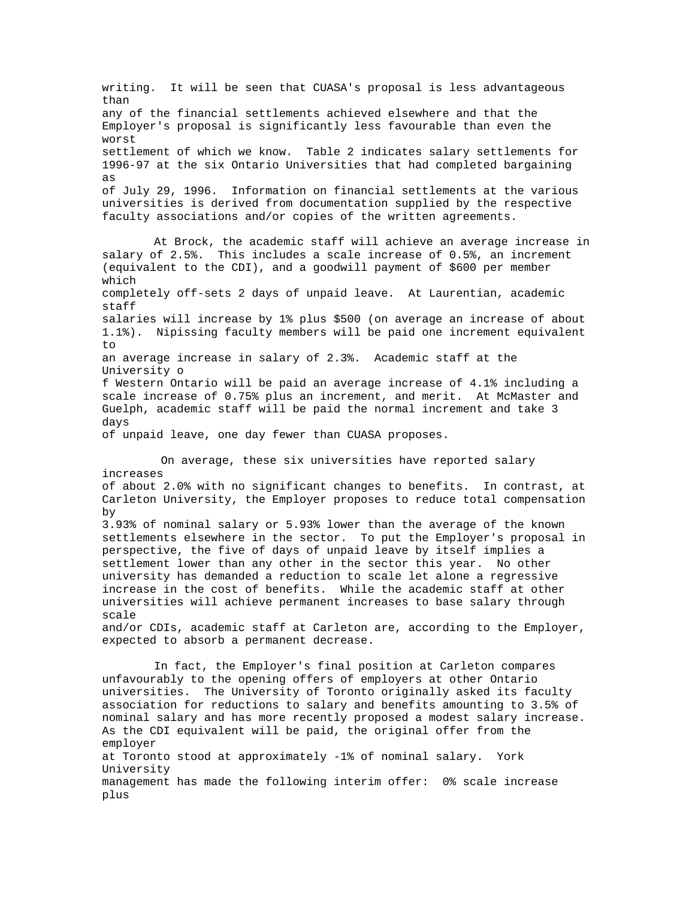writing. It will be seen that CUASA's proposal is less advantageous than any of the financial settlements achieved elsewhere and that the Employer's proposal is significantly less favourable than even the worst settlement of which we know. Table 2 indicates salary settlements for 1996-97 at the six Ontario Universities that had completed bargaining as of July 29, 1996. Information on financial settlements at the various universities is derived from documentation supplied by the respective faculty associations and/or copies of the written agreements.

 At Brock, the academic staff will achieve an average increase in salary of 2.5%. This includes a scale increase of 0.5%, an increment (equivalent to the CDI), and a goodwill payment of \$600 per member which completely off-sets 2 days of unpaid leave. At Laurentian, academic staff salaries will increase by 1% plus \$500 (on average an increase of about 1.1%). Nipissing faculty members will be paid one increment equivalent  $t_{\Omega}$ an average increase in salary of 2.3%. Academic staff at the University o f Western Ontario will be paid an average increase of 4.1% including a scale increase of 0.75% plus an increment, and merit. At McMaster and Guelph, academic staff will be paid the normal increment and take 3 days of unpaid leave, one day fewer than CUASA proposes.

 On average, these six universities have reported salary increases of about 2.0% with no significant changes to benefits. In contrast, at Carleton University, the Employer proposes to reduce total compensation by 3.93% of nominal salary or 5.93% lower than the average of the known settlements elsewhere in the sector. To put the Employer's proposal in perspective, the five of days of unpaid leave by itself implies a settlement lower than any other in the sector this year. No other university has demanded a reduction to scale let alone a regressive increase in the cost of benefits. While the academic staff at other universities will achieve permanent increases to base salary through scale and/or CDIs, academic staff at Carleton are, according to the Employer, expected to absorb a permanent decrease. In fact, the Employer's final position at Carleton compares unfavourably to the opening offers of employers at other Ontario universities. The University of Toronto originally asked its faculty association for reductions to salary and benefits amounting to 3.5% of nominal salary and has more recently proposed a modest salary increase. As the CDI equivalent will be paid, the original offer from the

employer at Toronto stood at approximately -1% of nominal salary. York University management has made the following interim offer: 0% scale increase plus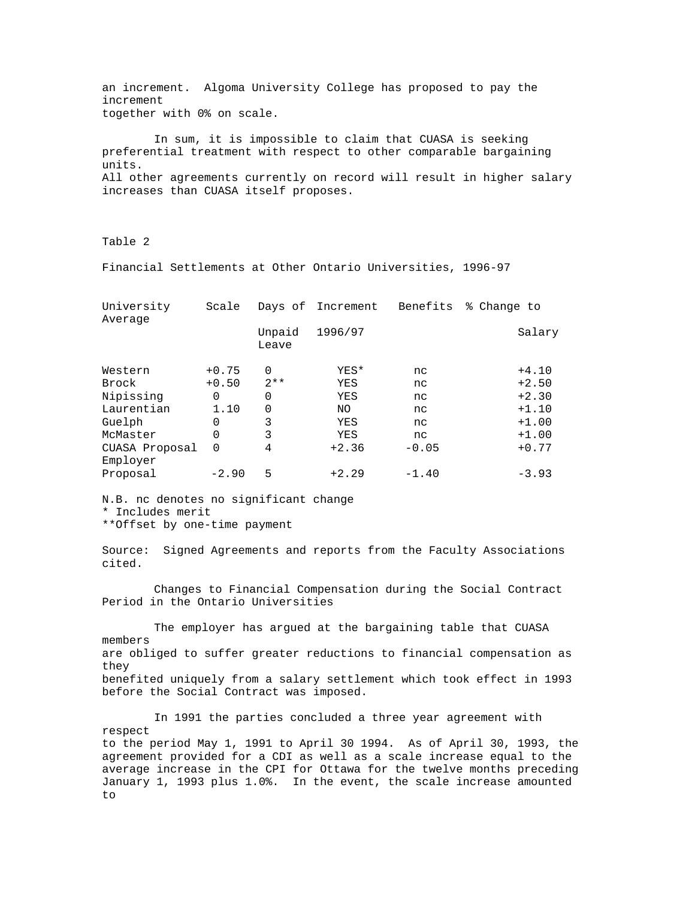an increment. Algoma University College has proposed to pay the increment together with 0% on scale.

 In sum, it is impossible to claim that CUASA is seeking preferential treatment with respect to other comparable bargaining units. All other agreements currently on record will result in higher salary increases than CUASA itself proposes.

Table 2

Financial Settlements at Other Ontario Universities, 1996-97

| University<br>Average      | Scale    |                 | Days of Increment | Benefits | % Change to |
|----------------------------|----------|-----------------|-------------------|----------|-------------|
|                            |          | Unpaid<br>Leave | 1996/97           |          | Salary      |
| Western                    | $+0.75$  | $\Omega$        | YES*              | nc       | $+4.10$     |
| Brock                      | $+0.50$  | $2**$           | YES               | nc       | $+2.50$     |
| Nipissing                  | 0        | 0               | YES               | nc       | $+2.30$     |
| Laurentian                 | 1.10     | $\Omega$        | NO.               | nc       | $+1.10$     |
| Guelph                     | 0        | 3               | YES               | nc       | $+1.00$     |
| McMaster                   | 0        | 3               | YES               | nc       | $+1.00$     |
| CUASA Proposal<br>Employer | $\Omega$ | 4               | $+2.36$           | $-0.05$  | $+0.77$     |
| Proposal                   | $-2.90$  | 5               | $+2.29$           | $-1.40$  | $-3.93$     |

N.B. nc denotes no significant change \* Includes merit

\*\*Offset by one-time payment

Source: Signed Agreements and reports from the Faculty Associations cited.

 Changes to Financial Compensation during the Social Contract Period in the Ontario Universities

 The employer has argued at the bargaining table that CUASA members are obliged to suffer greater reductions to financial compensation as they benefited uniquely from a salary settlement which took effect in 1993 before the Social Contract was imposed.

 In 1991 the parties concluded a three year agreement with respect to the period May 1, 1991 to April 30 1994. As of April 30, 1993, the agreement provided for a CDI as well as a scale increase equal to the average increase in the CPI for Ottawa for the twelve months preceding January 1, 1993 plus 1.0%. In the event, the scale increase amounted to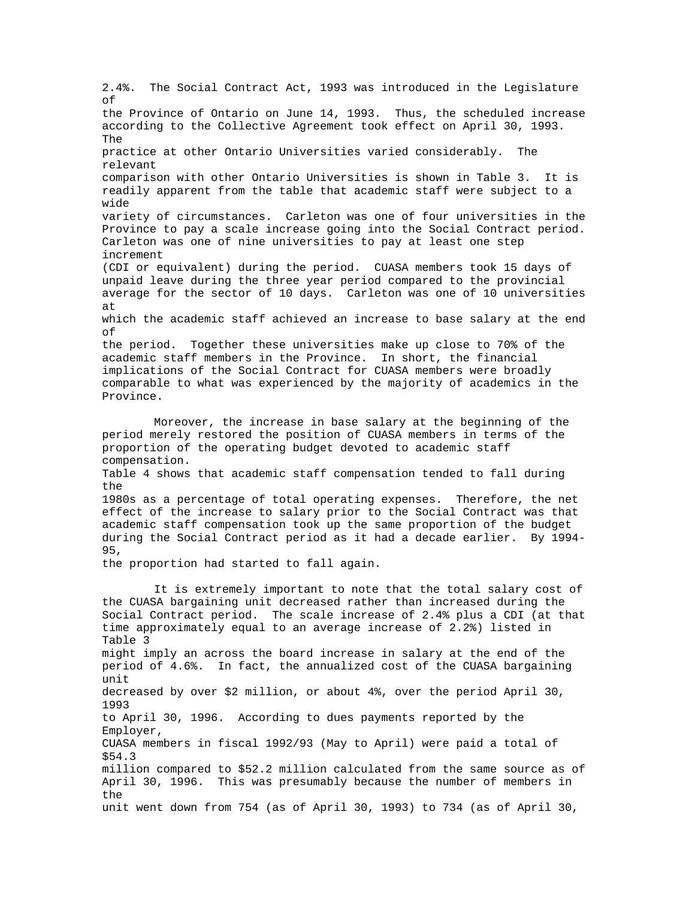2.4%. The Social Contract Act, 1993 was introduced in the Legislature of the Province of Ontario on June 14, 1993. Thus, the scheduled increase according to the Collective Agreement took effect on April 30, 1993. The practice at other Ontario Universities varied considerably. The relevant comparison with other Ontario Universities is shown in Table 3. It is readily apparent from the table that academic staff were subject to a wide variety of circumstances. Carleton was one of four universities in the Province to pay a scale increase going into the Social Contract period. Carleton was one of nine universities to pay at least one step increment (CDI or equivalent) during the period. CUASA members took 15 days of unpaid leave during the three year period compared to the provincial average for the sector of 10 days. Carleton was one of 10 universities at which the academic staff achieved an increase to base salary at the end of the period. Together these universities make up close to 70% of the academic staff members in the Province. In short, the financial implications of the Social Contract for CUASA members were broadly comparable to what was experienced by the majority of academics in the Province. Moreover, the increase in base salary at the beginning of the period merely restored the position of CUASA members in terms of the proportion of the operating budget devoted to academic staff compensation. Table 4 shows that academic staff compensation tended to fall during the 1980s as a percentage of total operating expenses. Therefore, the net effect of the increase to salary prior to the Social Contract was that academic staff compensation took up the same proportion of the budget during the Social Contract period as it had a decade earlier. By 1994- 95, the proportion had started to fall again. It is extremely important to note that the total salary cost of the CUASA bargaining unit decreased rather than increased during the Social Contract period. The scale increase of 2.4% plus a CDI (at that time approximately equal to an average increase of 2.2%) listed in Table 3 might imply an across the board increase in salary at the end of the period of 4.6%. In fact, the annualized cost of the CUASA bargaining unit decreased by over \$2 million, or about 4%, over the period April 30, 1993 to April 30, 1996. According to dues payments reported by the Employer, CUASA members in fiscal 1992/93 (May to April) were paid a total of \$54.3 million compared to \$52.2 million calculated from the same source as of April 30, 1996. This was presumably because the number of members in the unit went down from 754 (as of April 30, 1993) to 734 (as of April 30,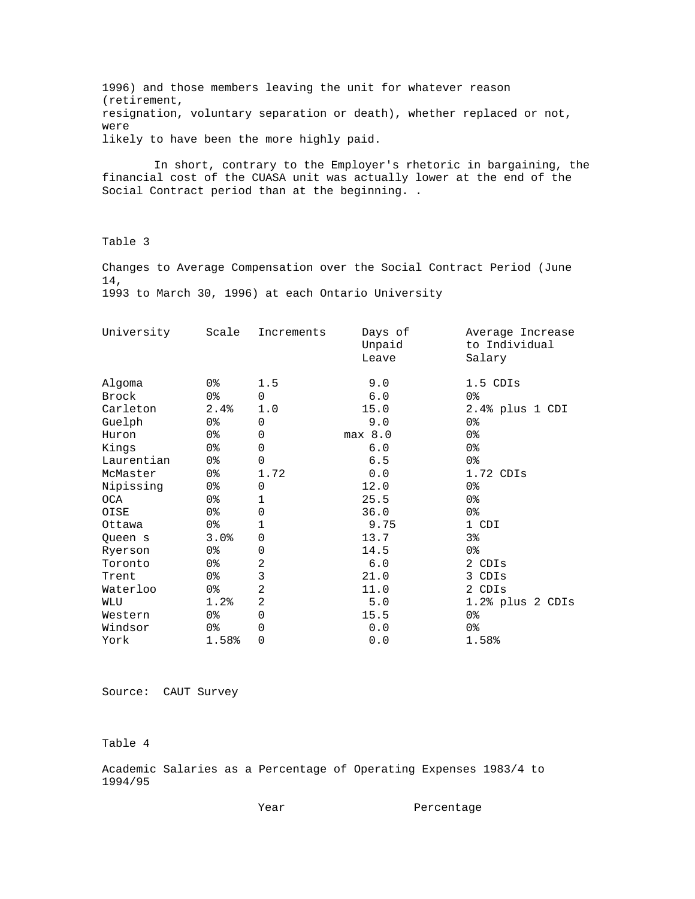1996) and those members leaving the unit for whatever reason (retirement, resignation, voluntary separation or death), whether replaced or not, were likely to have been the more highly paid.

 In short, contrary to the Employer's rhetoric in bargaining, the financial cost of the CUASA unit was actually lower at the end of the Social Contract period than at the beginning. .

Table 3

Changes to Average Compensation over the Social Contract Period (June 14, 1993 to March 30, 1996) at each Ontario University

| University | Scale          | Increments     | Days of<br>Unpaid<br>Leave | Average Increase<br>to Individual<br>Salary |
|------------|----------------|----------------|----------------------------|---------------------------------------------|
| Algoma     | 0%             | 1.5            | 9.0                        | 1.5 CDIs                                    |
| Brock      | 0 <sup>8</sup> | $\Omega$       | 6.0                        | 0 <sup>8</sup>                              |
| Carleton   | 2.4%           | 1.0            | 15.0                       | 2.4% plus 1 CDI                             |
| Guelph     | 0%             | $\mathbf 0$    | 9.0                        | 0 <sup>8</sup>                              |
| Huron      | 0%             | $\Omega$       | $max$ 8.0                  | 0%                                          |
| Kings      | 0 <sup>8</sup> | 0              | 6.0                        | 0 <sup>8</sup>                              |
| Laurentian | 0 <sup>8</sup> | $\Omega$       | 6.5                        | 0 <sup>8</sup>                              |
| McMaster   | 0 <sub>8</sub> | 1.72           | 0.0                        | $1.72$ CDIs                                 |
| Nipissing  | 0 <sub>8</sub> | $\Omega$       | 12.0                       | 0 <sup>8</sup>                              |
| OCA        | 0 <sub>8</sub> | 1              | 25.5                       | 0 <sup>8</sup>                              |
| OISE       | 0%             | $\mathbf 0$    | 36.0                       | 0 <sup>8</sup>                              |
| Ottawa     | 0 <sup>°</sup> | $\mathbf 1$    | 9.75                       | 1 CDI                                       |
| Queen s    | 3.0%           | $\mathbf 0$    | 13.7                       | 3 <sup>8</sup>                              |
| Ryerson    | 0%             | 0              | 14.5                       | 0%                                          |
| Toronto    | 0%             | $\overline{2}$ | 6.0                        | 2 CDIs                                      |
| Trent      | 0 <sub>8</sub> | 3              | 21.0                       | 3 CDIs                                      |
| Waterloo   | 0%             | $\overline{2}$ | 11.0                       | 2 CDIs                                      |
| WLU        | 1.2%           | $\overline{a}$ | 5.0                        | $1.2$ % plus $2$ CDIs                       |
| Western    | 0%             | 0              | 15.5                       | 0%                                          |
| Windsor    | 0%             | 0              | 0.0                        | 0%                                          |
| York       | 1.58%          | 0              | 0.0                        | 1.58%                                       |

Source: CAUT Survey

Table 4

Academic Salaries as a Percentage of Operating Expenses 1983/4 to 1994/95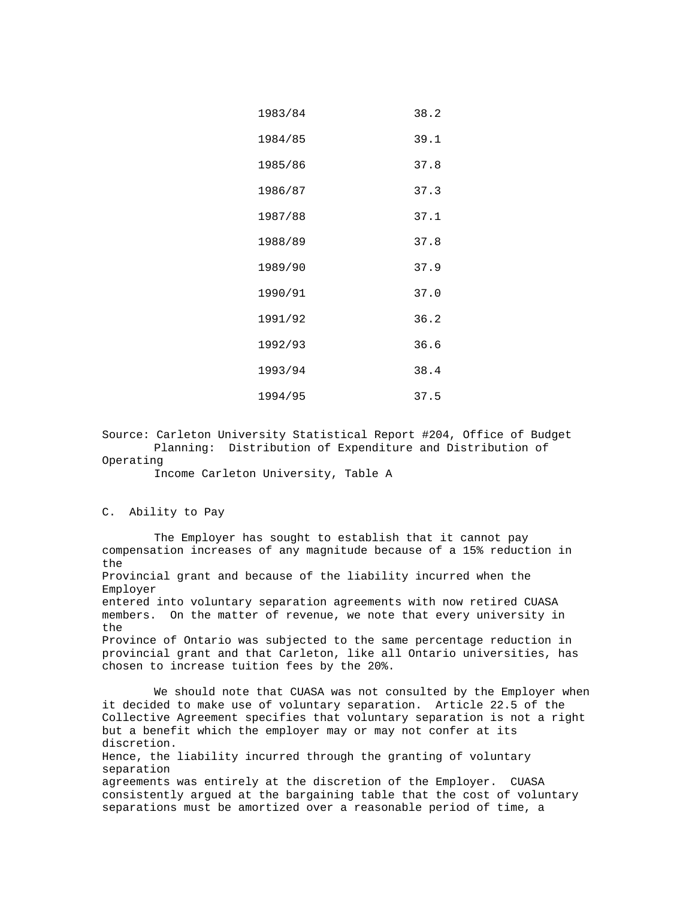| 1983/84 | 38.2 |
|---------|------|
| 1984/85 | 39.1 |
| 1985/86 | 37.8 |
| 1986/87 | 37.3 |
| 1987/88 | 37.1 |
| 1988/89 | 37.8 |
| 1989/90 | 37.9 |
| 1990/91 | 37.0 |
| 1991/92 | 36.2 |
| 1992/93 | 36.6 |
| 1993/94 | 38.4 |
| 1994/95 | 37.5 |

Source: Carleton University Statistical Report #204, Office of Budget Planning: Distribution of Expenditure and Distribution of Operating

Income Carleton University, Table A

#### C. Ability to Pay

 The Employer has sought to establish that it cannot pay compensation increases of any magnitude because of a 15% reduction in the Provincial grant and because of the liability incurred when the Employer entered into voluntary separation agreements with now retired CUASA members. On the matter of revenue, we note that every university in the Province of Ontario was subjected to the same percentage reduction in provincial grant and that Carleton, like all Ontario universities, has chosen to increase tuition fees by the 20%. We should note that CUASA was not consulted by the Employer when it decided to make use of voluntary separation. Article 22.5 of the Collective Agreement specifies that voluntary separation is not a right but a benefit which the employer may or may not confer at its discretion.

Hence, the liability incurred through the granting of voluntary separation

agreements was entirely at the discretion of the Employer. CUASA consistently argued at the bargaining table that the cost of voluntary separations must be amortized over a reasonable period of time, a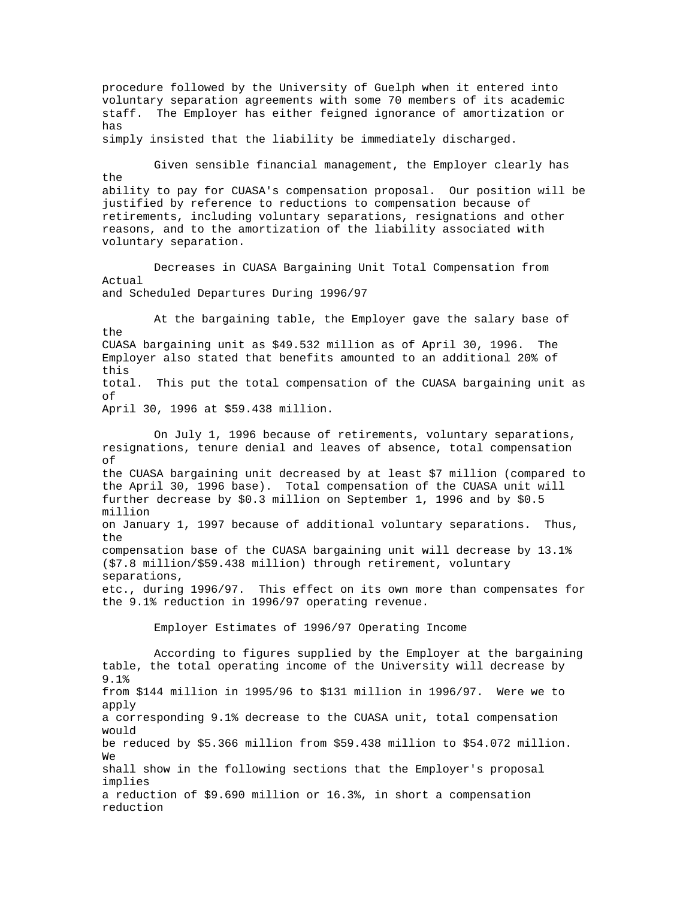procedure followed by the University of Guelph when it entered into voluntary separation agreements with some 70 members of its academic staff. The Employer has either feigned ignorance of amortization or has simply insisted that the liability be immediately discharged. Given sensible financial management, the Employer clearly has the ability to pay for CUASA's compensation proposal. Our position will be justified by reference to reductions to compensation because of retirements, including voluntary separations, resignations and other reasons, and to the amortization of the liability associated with voluntary separation. Decreases in CUASA Bargaining Unit Total Compensation from Actual and Scheduled Departures During 1996/97 At the bargaining table, the Employer gave the salary base of the CUASA bargaining unit as \$49.532 million as of April 30, 1996. The Employer also stated that benefits amounted to an additional 20% of this total. This put the total compensation of the CUASA bargaining unit as of April 30, 1996 at \$59.438 million. On July 1, 1996 because of retirements, voluntary separations, resignations, tenure denial and leaves of absence, total compensation of the CUASA bargaining unit decreased by at least \$7 million (compared to the April 30, 1996 base). Total compensation of the CUASA unit will further decrease by \$0.3 million on September 1, 1996 and by \$0.5 million on January 1, 1997 because of additional voluntary separations. Thus, the compensation base of the CUASA bargaining unit will decrease by 13.1% (\$7.8 million/\$59.438 million) through retirement, voluntary separations, etc., during 1996/97. This effect on its own more than compensates for the 9.1% reduction in 1996/97 operating revenue. Employer Estimates of 1996/97 Operating Income According to figures supplied by the Employer at the bargaining table, the total operating income of the University will decrease by 9.1% from \$144 million in 1995/96 to \$131 million in 1996/97. Were we to apply a corresponding 9.1% decrease to the CUASA unit, total compensation would be reduced by \$5.366 million from \$59.438 million to \$54.072 million. We shall show in the following sections that the Employer's proposal implies a reduction of \$9.690 million or 16.3%, in short a compensation reduction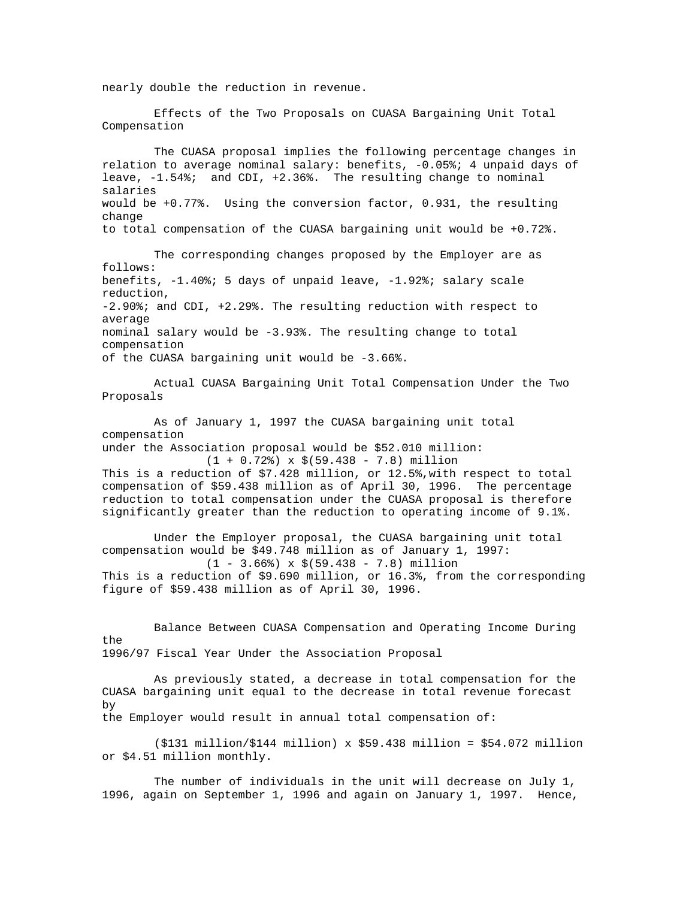nearly double the reduction in revenue.

 Effects of the Two Proposals on CUASA Bargaining Unit Total Compensation

 The CUASA proposal implies the following percentage changes in relation to average nominal salary: benefits, -0.05%; 4 unpaid days of leave, -1.54%; and CDI, +2.36%. The resulting change to nominal salaries would be +0.77%. Using the conversion factor, 0.931, the resulting change to total compensation of the CUASA bargaining unit would be +0.72%.

 The corresponding changes proposed by the Employer are as follows: benefits, -1.40%; 5 days of unpaid leave, -1.92%; salary scale reduction, -2.90%; and CDI, +2.29%. The resulting reduction with respect to average nominal salary would be -3.93%. The resulting change to total compensation of the CUASA bargaining unit would be -3.66%.

 Actual CUASA Bargaining Unit Total Compensation Under the Two Proposals

 As of January 1, 1997 the CUASA bargaining unit total compensation under the Association proposal would be \$52.010 million:

 $(1 + 0.72)$  x  $(59.438 - 7.8)$  million This is a reduction of \$7.428 million, or 12.5%,with respect to total compensation of \$59.438 million as of April 30, 1996. The percentage reduction to total compensation under the CUASA proposal is therefore significantly greater than the reduction to operating income of 9.1%.

 Under the Employer proposal, the CUASA bargaining unit total compensation would be \$49.748 million as of January 1, 1997: (1 - 3.66%) x \$(59.438 - 7.8) million This is a reduction of \$9.690 million, or 16.3%, from the corresponding figure of \$59.438 million as of April 30, 1996.

 Balance Between CUASA Compensation and Operating Income During the 1996/97 Fiscal Year Under the Association Proposal

 As previously stated, a decrease in total compensation for the CUASA bargaining unit equal to the decrease in total revenue forecast by

the Employer would result in annual total compensation of:

 (\$131 million/\$144 million) x \$59.438 million = \$54.072 million or \$4.51 million monthly.

 The number of individuals in the unit will decrease on July 1, 1996, again on September 1, 1996 and again on January 1, 1997. Hence,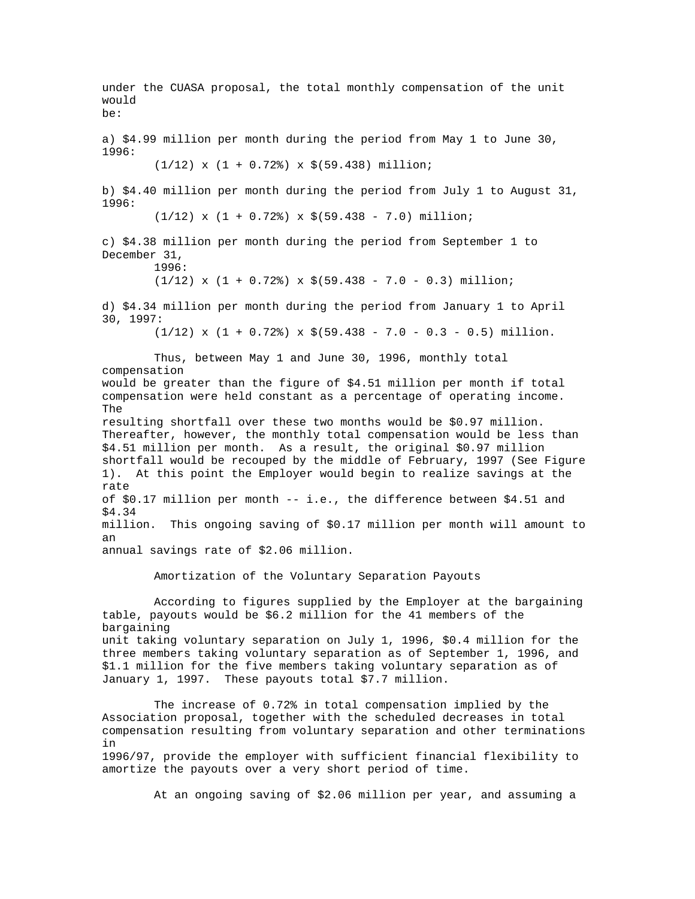under the CUASA proposal, the total monthly compensation of the unit would be: a) \$4.99 million per month during the period from May 1 to June 30, 1996:  $(1/12)$  x  $(1 + 0.72)$  x  $(59.438)$  million; b) \$4.40 million per month during the period from July 1 to August 31, 1996:  $(1/12)$  x  $(1 + 0.72)$  x  $(59.438 - 7.0)$  million; c) \$4.38 million per month during the period from September 1 to December 31, 1996:  $(1/12)$  x  $(1 + 0.72)$  x  $(59.438 - 7.0 - 0.3)$  million; d) \$4.34 million per month during the period from January 1 to April 30, 1997:  $(1/12)$  x  $(1 + 0.72)$  x  $(59.438 - 7.0 - 0.3 - 0.5)$  million. Thus, between May 1 and June 30, 1996, monthly total compensation would be greater than the figure of \$4.51 million per month if total compensation were held constant as a percentage of operating income. The resulting shortfall over these two months would be \$0.97 million. Thereafter, however, the monthly total compensation would be less than \$4.51 million per month. As a result, the original \$0.97 million shortfall would be recouped by the middle of February, 1997 (See Figure 1). At this point the Employer would begin to realize savings at the rate of \$0.17 million per month -- i.e., the difference between \$4.51 and \$4.34 million. This ongoing saving of \$0.17 million per month will amount to an annual savings rate of \$2.06 million. Amortization of the Voluntary Separation Payouts According to figures supplied by the Employer at the bargaining table, payouts would be \$6.2 million for the 41 members of the bargaining unit taking voluntary separation on July 1, 1996, \$0.4 million for the three members taking voluntary separation as of September 1, 1996, and \$1.1 million for the five members taking voluntary separation as of January 1, 1997. These payouts total \$7.7 million. The increase of 0.72% in total compensation implied by the Association proposal, together with the scheduled decreases in total compensation resulting from voluntary separation and other terminations in 1996/97, provide the employer with sufficient financial flexibility to amortize the payouts over a very short period of time.

At an ongoing saving of \$2.06 million per year, and assuming a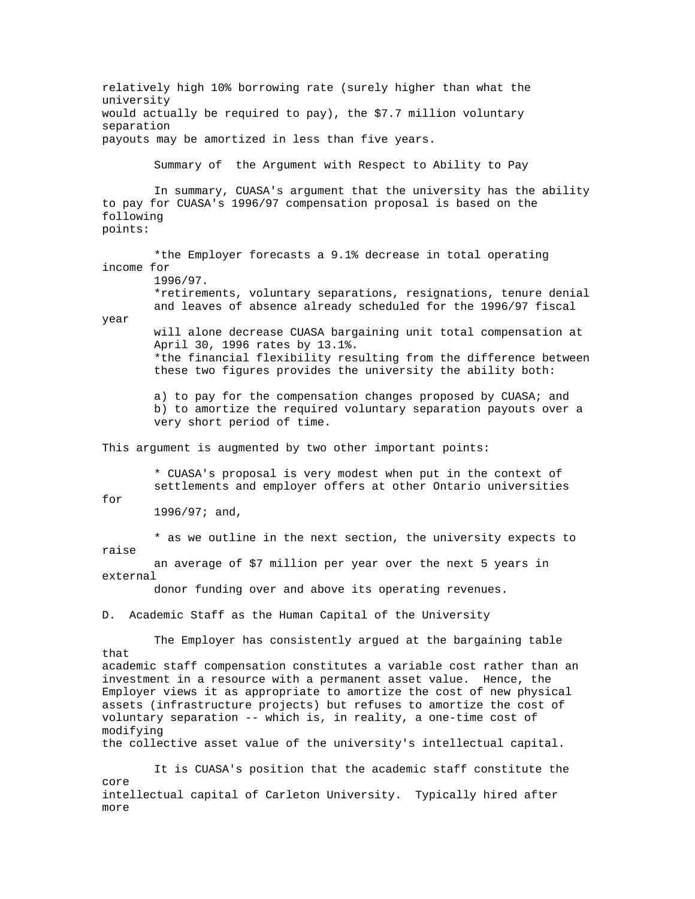relatively high 10% borrowing rate (surely higher than what the university would actually be required to pay), the \$7.7 million voluntary separation payouts may be amortized in less than five years. Summary of the Argument with Respect to Ability to Pay In summary, CUASA's argument that the university has the ability to pay for CUASA's 1996/97 compensation proposal is based on the following points: \*the Employer forecasts a 9.1% decrease in total operating income for 1996/97. \*retirements, voluntary separations, resignations, tenure denial and leaves of absence already scheduled for the 1996/97 fiscal year will alone decrease CUASA bargaining unit total compensation at April 30, 1996 rates by 13.1%. \*the financial flexibility resulting from the difference between these two figures provides the university the ability both: a) to pay for the compensation changes proposed by CUASA; and b) to amortize the required voluntary separation payouts over a very short period of time. This argument is augmented by two other important points: \* CUASA's proposal is very modest when put in the context of settlements and employer offers at other Ontario universities for 1996/97; and, \* as we outline in the next section, the university expects to raise an average of \$7 million per year over the next 5 years in external donor funding over and above its operating revenues. D. Academic Staff as the Human Capital of the University The Employer has consistently argued at the bargaining table that academic staff compensation constitutes a variable cost rather than an investment in a resource with a permanent asset value. Hence, the Employer views it as appropriate to amortize the cost of new physical assets (infrastructure projects) but refuses to amortize the cost of voluntary separation -- which is, in reality, a one-time cost of modifying the collective asset value of the university's intellectual capital. It is CUASA's position that the academic staff constitute the core intellectual capital of Carleton University. Typically hired after more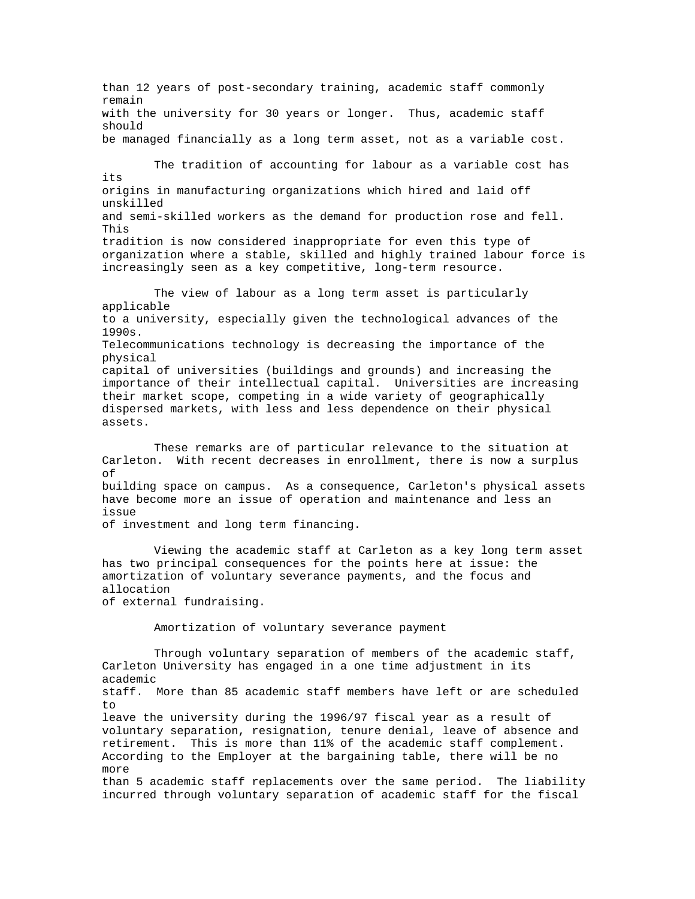than 12 years of post-secondary training, academic staff commonly remain with the university for 30 years or longer. Thus, academic staff should be managed financially as a long term asset, not as a variable cost. The tradition of accounting for labour as a variable cost has its origins in manufacturing organizations which hired and laid off unskilled and semi-skilled workers as the demand for production rose and fell. This tradition is now considered inappropriate for even this type of organization where a stable, skilled and highly trained labour force is increasingly seen as a key competitive, long-term resource. The view of labour as a long term asset is particularly applicable to a university, especially given the technological advances of the 1990s. Telecommunications technology is decreasing the importance of the physical capital of universities (buildings and grounds) and increasing the importance of their intellectual capital. Universities are increasing their market scope, competing in a wide variety of geographically dispersed markets, with less and less dependence on their physical assets. These remarks are of particular relevance to the situation at Carleton. With recent decreases in enrollment, there is now a surplus of building space on campus. As a consequence, Carleton's physical assets have become more an issue of operation and maintenance and less an issue of investment and long term financing. Viewing the academic staff at Carleton as a key long term asset has two principal consequences for the points here at issue: the amortization of voluntary severance payments, and the focus and allocation of external fundraising. Amortization of voluntary severance payment

 Through voluntary separation of members of the academic staff, Carleton University has engaged in a one time adjustment in its academic staff. More than 85 academic staff members have left or are scheduled  $t \circ$ leave the university during the 1996/97 fiscal year as a result of voluntary separation, resignation, tenure denial, leave of absence and retirement. This is more than 11% of the academic staff complement. According to the Employer at the bargaining table, there will be no more than 5 academic staff replacements over the same period. The liability incurred through voluntary separation of academic staff for the fiscal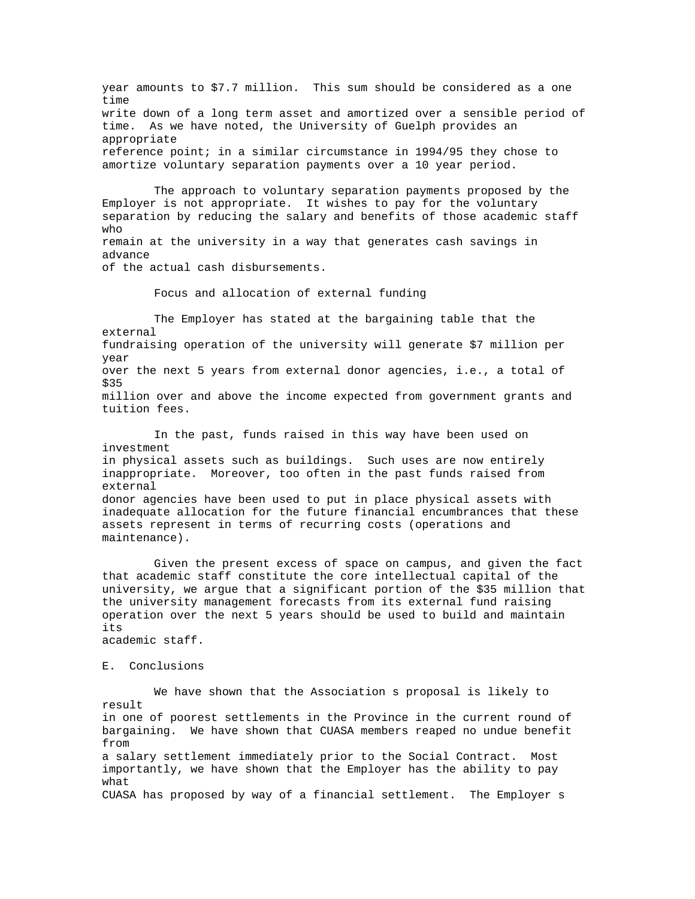year amounts to \$7.7 million. This sum should be considered as a one time write down of a long term asset and amortized over a sensible period of time. As we have noted, the University of Guelph provides an appropriate reference point; in a similar circumstance in 1994/95 they chose to amortize voluntary separation payments over a 10 year period.

 The approach to voluntary separation payments proposed by the Employer is not appropriate. It wishes to pay for the voluntary separation by reducing the salary and benefits of those academic staff who remain at the university in a way that generates cash savings in

advance

of the actual cash disbursements.

Focus and allocation of external funding

 The Employer has stated at the bargaining table that the external fundraising operation of the university will generate \$7 million per year over the next 5 years from external donor agencies, i.e., a total of \$35 million over and above the income expected from government grants and tuition fees.

 In the past, funds raised in this way have been used on investment in physical assets such as buildings. Such uses are now entirely inappropriate. Moreover, too often in the past funds raised from external donor agencies have been used to put in place physical assets with inadequate allocation for the future financial encumbrances that these assets represent in terms of recurring costs (operations and maintenance).

 Given the present excess of space on campus, and given the fact that academic staff constitute the core intellectual capital of the university, we argue that a significant portion of the \$35 million that the university management forecasts from its external fund raising operation over the next 5 years should be used to build and maintain its academic staff.

# E. Conclusions

 We have shown that the Association s proposal is likely to result in one of poorest settlements in the Province in the current round of bargaining. We have shown that CUASA members reaped no undue benefit from a salary settlement immediately prior to the Social Contract. Most importantly, we have shown that the Employer has the ability to pay what CUASA has proposed by way of a financial settlement. The Employer s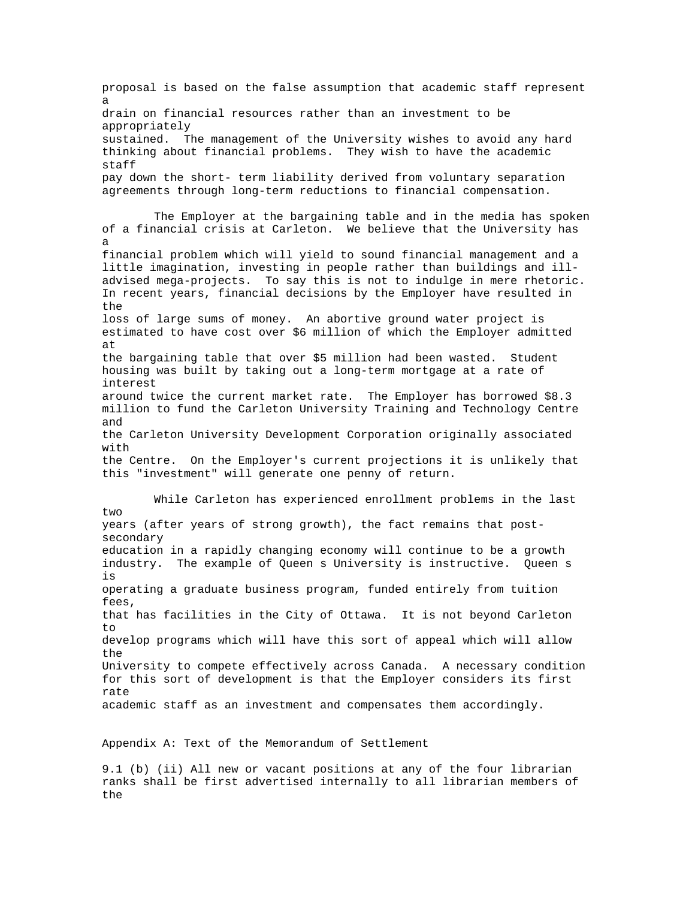proposal is based on the false assumption that academic staff represent a drain on financial resources rather than an investment to be appropriately sustained. The management of the University wishes to avoid any hard thinking about financial problems. They wish to have the academic staff pay down the short- term liability derived from voluntary separation agreements through long-term reductions to financial compensation. The Employer at the bargaining table and in the media has spoken of a financial crisis at Carleton. We believe that the University has a financial problem which will yield to sound financial management and a little imagination, investing in people rather than buildings and illadvised mega-projects. To say this is not to indulge in mere rhetoric. In recent years, financial decisions by the Employer have resulted in the loss of large sums of money. An abortive ground water project is estimated to have cost over \$6 million of which the Employer admitted at the bargaining table that over \$5 million had been wasted. Student housing was built by taking out a long-term mortgage at a rate of interest around twice the current market rate. The Employer has borrowed \$8.3 million to fund the Carleton University Training and Technology Centre and the Carleton University Development Corporation originally associated with the Centre. On the Employer's current projections it is unlikely that this "investment" will generate one penny of return. While Carleton has experienced enrollment problems in the last two years (after years of strong growth), the fact remains that postsecondary education in a rapidly changing economy will continue to be a growth industry. The example of Queen s University is instructive. Queen s is operating a graduate business program, funded entirely from tuition fees, that has facilities in the City of Ottawa. It is not beyond Carleton to develop programs which will have this sort of appeal which will allow the University to compete effectively across Canada. A necessary condition for this sort of development is that the Employer considers its first rate academic staff as an investment and compensates them accordingly.

Appendix A: Text of the Memorandum of Settlement

9.1 (b) (ii) All new or vacant positions at any of the four librarian ranks shall be first advertised internally to all librarian members of the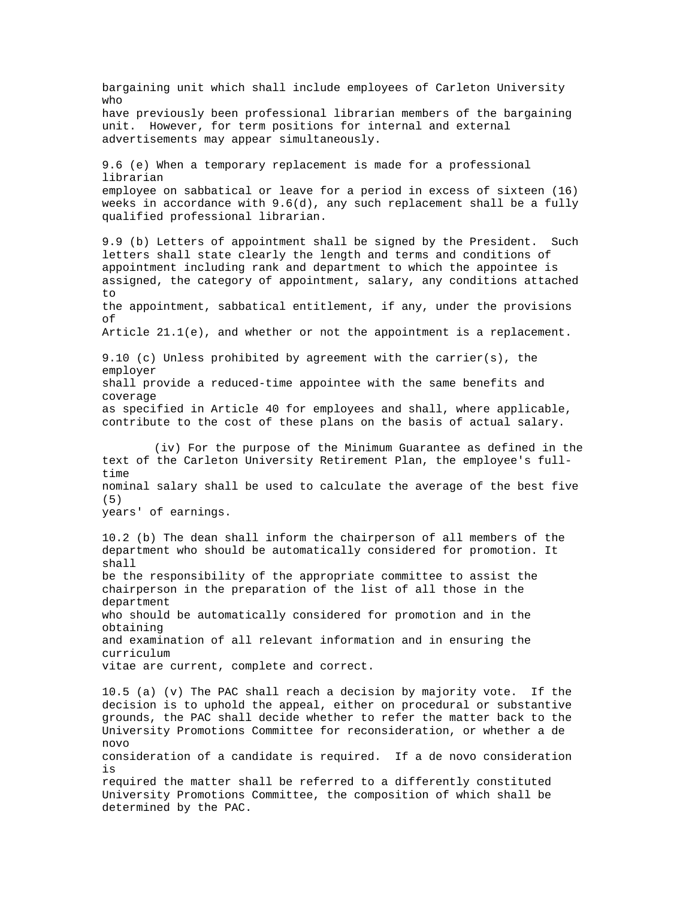bargaining unit which shall include employees of Carleton University who have previously been professional librarian members of the bargaining unit. However, for term positions for internal and external advertisements may appear simultaneously. 9.6 (e) When a temporary replacement is made for a professional librarian employee on sabbatical or leave for a period in excess of sixteen (16) weeks in accordance with 9.6(d), any such replacement shall be a fully qualified professional librarian. 9.9 (b) Letters of appointment shall be signed by the President. Such letters shall state clearly the length and terms and conditions of appointment including rank and department to which the appointee is assigned, the category of appointment, salary, any conditions attached to the appointment, sabbatical entitlement, if any, under the provisions of Article 21.1(e), and whether or not the appointment is a replacement. 9.10 (c) Unless prohibited by agreement with the carrier(s), the employer shall provide a reduced-time appointee with the same benefits and coverage as specified in Article 40 for employees and shall, where applicable, contribute to the cost of these plans on the basis of actual salary. (iv) For the purpose of the Minimum Guarantee as defined in the text of the Carleton University Retirement Plan, the employee's fulltime nominal salary shall be used to calculate the average of the best five (5) years' of earnings. 10.2 (b) The dean shall inform the chairperson of all members of the department who should be automatically considered for promotion. It shall be the responsibility of the appropriate committee to assist the chairperson in the preparation of the list of all those in the department who should be automatically considered for promotion and in the obtaining and examination of all relevant information and in ensuring the curriculum vitae are current, complete and correct. 10.5 (a) (v) The PAC shall reach a decision by majority vote. If the decision is to uphold the appeal, either on procedural or substantive grounds, the PAC shall decide whether to refer the matter back to the University Promotions Committee for reconsideration, or whether a de novo consideration of a candidate is required. If a de novo consideration is required the matter shall be referred to a differently constituted University Promotions Committee, the composition of which shall be determined by the PAC.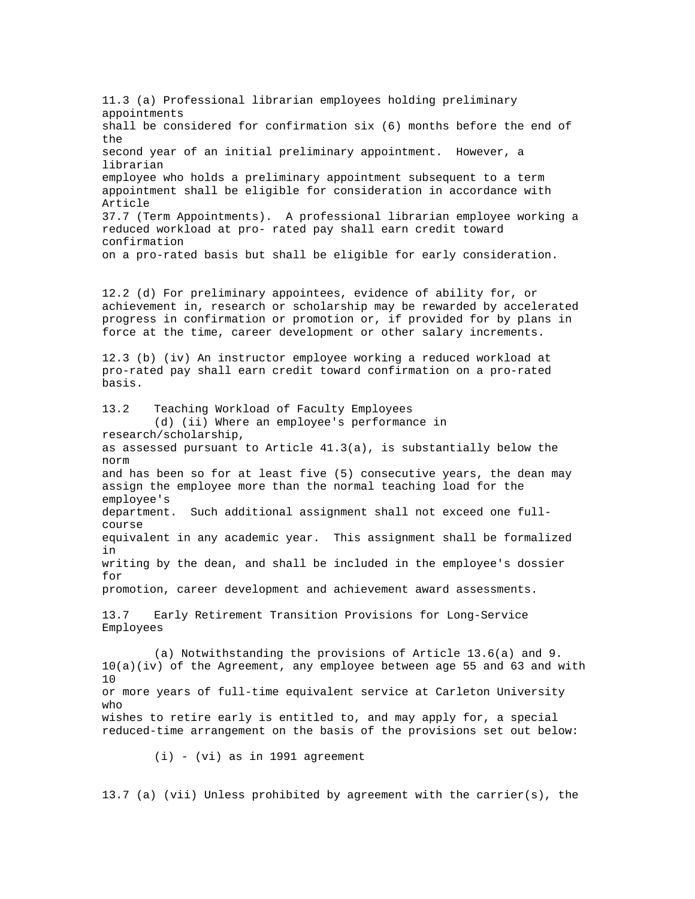11.3 (a) Professional librarian employees holding preliminary appointments shall be considered for confirmation six (6) months before the end of the second year of an initial preliminary appointment. However, a librarian employee who holds a preliminary appointment subsequent to a term appointment shall be eligible for consideration in accordance with Article 37.7 (Term Appointments). A professional librarian employee working a reduced workload at pro- rated pay shall earn credit toward confirmation on a pro-rated basis but shall be eligible for early consideration. 12.2 (d) For preliminary appointees, evidence of ability for, or achievement in, research or scholarship may be rewarded by accelerated progress in confirmation or promotion or, if provided for by plans in force at the time, career development or other salary increments. 12.3 (b) (iv) An instructor employee working a reduced workload at pro-rated pay shall earn credit toward confirmation on a pro-rated basis. 13.2 Teaching Workload of Faculty Employees (d) (ii) Where an employee's performance in research/scholarship, as assessed pursuant to Article 41.3(a), is substantially below the norm and has been so for at least five (5) consecutive years, the dean may assign the employee more than the normal teaching load for the employee's department. Such additional assignment shall not exceed one fullcourse equivalent in any academic year. This assignment shall be formalized in writing by the dean, and shall be included in the employee's dossier for promotion, career development and achievement award assessments. 13.7 Early Retirement Transition Provisions for Long-Service Employees (a) Notwithstanding the provisions of Article 13.6(a) and 9. 10(a)(iv) of the Agreement, any employee between age 55 and 63 and with 10 or more years of full-time equivalent service at Carleton University who wishes to retire early is entitled to, and may apply for, a special reduced-time arrangement on the basis of the provisions set out below:  $(i)$  -  $(vi)$  as in 1991 agreement

13.7 (a) (vii) Unless prohibited by agreement with the carrier(s), the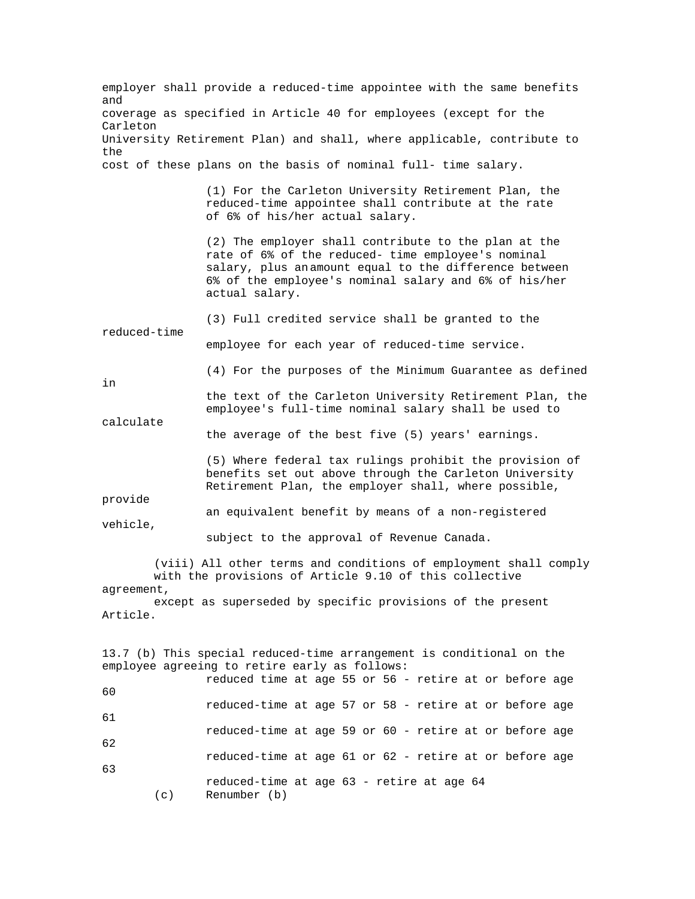employer shall provide a reduced-time appointee with the same benefits and coverage as specified in Article 40 for employees (except for the Carleton University Retirement Plan) and shall, where applicable, contribute to the cost of these plans on the basis of nominal full- time salary. (1) For the Carleton University Retirement Plan, the reduced-time appointee shall contribute at the rate of 6% of his/her actual salary. (2) The employer shall contribute to the plan at the rate of 6% of the reduced- time employee's nominal salary, plus an amount equal to the difference between 6% of the employee's nominal salary and 6% of his/her actual salary. (3) Full credited service shall be granted to the reduced-time employee for each year of reduced-time service. (4) For the purposes of the Minimum Guarantee as defined in the text of the Carleton University Retirement Plan, the employee's full-time nominal salary shall be used to calculate the average of the best five (5) years' earnings. (5) Where federal tax rulings prohibit the provision of benefits set out above through the Carleton University Retirement Plan, the employer shall, where possible, provide an equivalent benefit by means of a non-registered vehicle, subject to the approval of Revenue Canada. (viii) All other terms and conditions of employment shall comply with the provisions of Article 9.10 of this collective agreement, except as superseded by specific provisions of the present Article. 13.7 (b) This special reduced-time arrangement is conditional on the employee agreeing to retire early as follows: reduced time at age 55 or 56 - retire at or before age 60 reduced-time at age 57 or 58 - retire at or before age 61 reduced-time at age 59 or 60 - retire at or before age 62 reduced-time at age 61 or 62 - retire at or before age 63 reduced-time at age 63 - retire at age 64 (c) Renumber (b)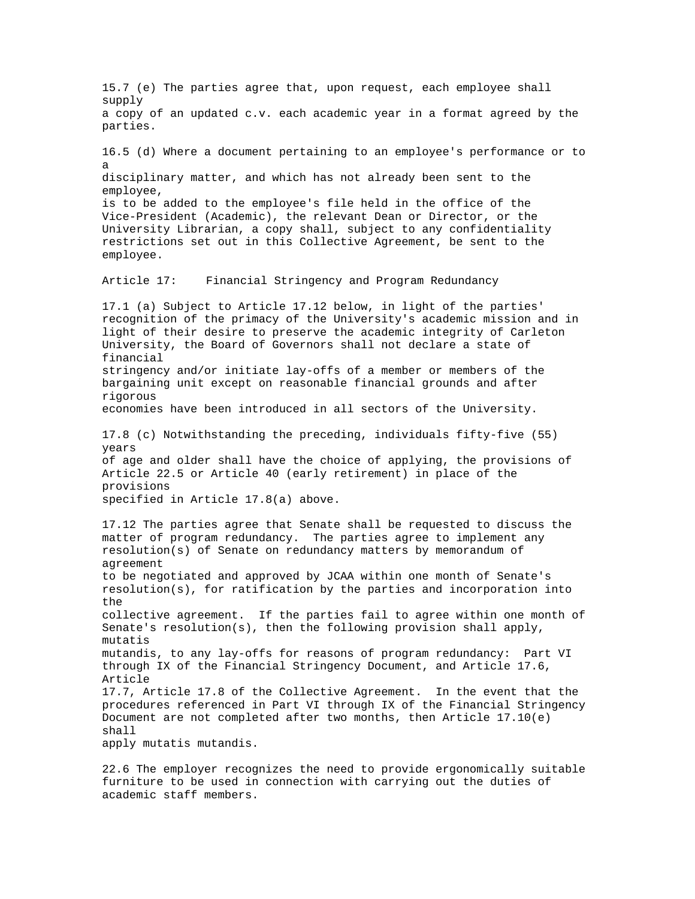15.7 (e) The parties agree that, upon request, each employee shall supply a copy of an updated c.v. each academic year in a format agreed by the parties. 16.5 (d) Where a document pertaining to an employee's performance or to a disciplinary matter, and which has not already been sent to the employee, is to be added to the employee's file held in the office of the Vice-President (Academic), the relevant Dean or Director, or the University Librarian, a copy shall, subject to any confidentiality restrictions set out in this Collective Agreement, be sent to the employee. Article 17: Financial Stringency and Program Redundancy 17.1 (a) Subject to Article 17.12 below, in light of the parties' recognition of the primacy of the University's academic mission and in light of their desire to preserve the academic integrity of Carleton University, the Board of Governors shall not declare a state of financial stringency and/or initiate lay-offs of a member or members of the bargaining unit except on reasonable financial grounds and after rigorous economies have been introduced in all sectors of the University. 17.8 (c) Notwithstanding the preceding, individuals fifty-five (55) years of age and older shall have the choice of applying, the provisions of Article 22.5 or Article 40 (early retirement) in place of the provisions specified in Article 17.8(a) above. 17.12 The parties agree that Senate shall be requested to discuss the matter of program redundancy. The parties agree to implement any resolution(s) of Senate on redundancy matters by memorandum of agreement to be negotiated and approved by JCAA within one month of Senate's resolution(s), for ratification by the parties and incorporation into the collective agreement. If the parties fail to agree within one month of Senate's resolution(s), then the following provision shall apply, mutatis mutandis, to any lay-offs for reasons of program redundancy: Part VI through IX of the Financial Stringency Document, and Article 17.6, Article 17.7, Article 17.8 of the Collective Agreement. In the event that the procedures referenced in Part VI through IX of the Financial Stringency Document are not completed after two months, then  $Article$  17.10(e) shall apply mutatis mutandis.

22.6 The employer recognizes the need to provide ergonomically suitable furniture to be used in connection with carrying out the duties of academic staff members.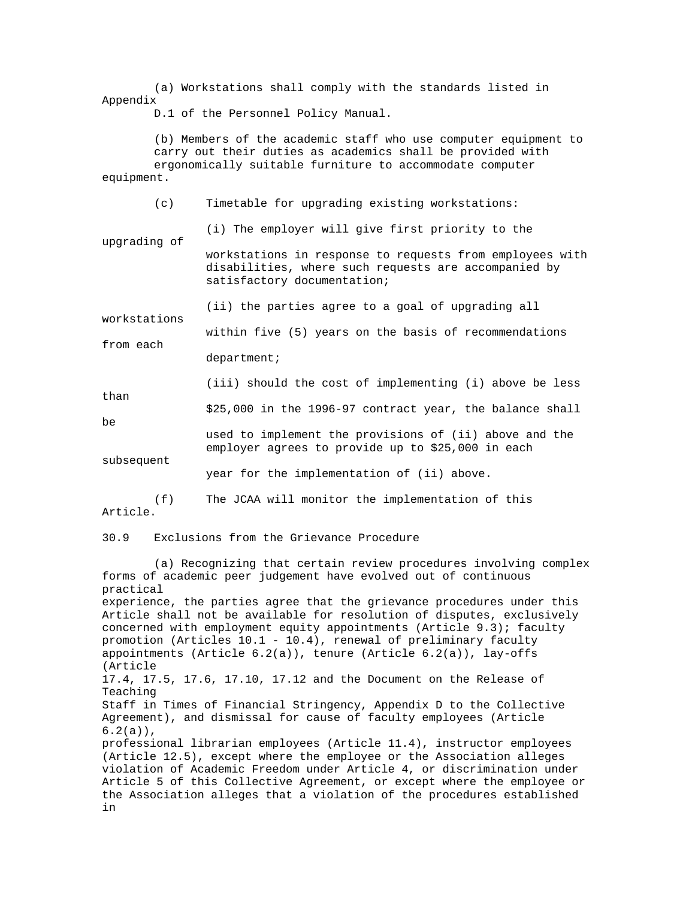(a) Workstations shall comply with the standards listed in Appendix

D.1 of the Personnel Policy Manual.

 (b) Members of the academic staff who use computer equipment to carry out their duties as academics shall be provided with ergonomically suitable furniture to accommodate computer equipment.

 (c) Timetable for upgrading existing workstations: (i) The employer will give first priority to the upgrading of workstations in response to requests from employees with disabilities, where such requests are accompanied by satisfactory documentation; (ii) the parties agree to a goal of upgrading all workstations within five (5) years on the basis of recommendations from each department; (iii) should the cost of implementing (i) above be less than \$25,000 in the 1996-97 contract year, the balance shall be used to implement the provisions of (ii) above and the employer agrees to provide up to \$25,000 in each subsequent

year for the implementation of (ii) above.

 (f) The JCAA will monitor the implementation of this Article.

30.9 Exclusions from the Grievance Procedure

 (a) Recognizing that certain review procedures involving complex forms of academic peer judgement have evolved out of continuous practical experience, the parties agree that the grievance procedures under this Article shall not be available for resolution of disputes, exclusively concerned with employment equity appointments (Article 9.3); faculty promotion (Articles 10.1 - 10.4), renewal of preliminary faculty appointments (Article  $6.2(a)$ ), tenure (Article  $6.2(a)$ ), lay-offs (Article 17.4, 17.5, 17.6, 17.10, 17.12 and the Document on the Release of Teaching Staff in Times of Financial Stringency, Appendix D to the Collective Agreement), and dismissal for cause of faculty employees (Article  $6.2(a)$ , professional librarian employees (Article 11.4), instructor employees (Article 12.5), except where the employee or the Association alleges violation of Academic Freedom under Article 4, or discrimination under Article 5 of this Collective Agreement, or except where the employee or the Association alleges that a violation of the procedures established in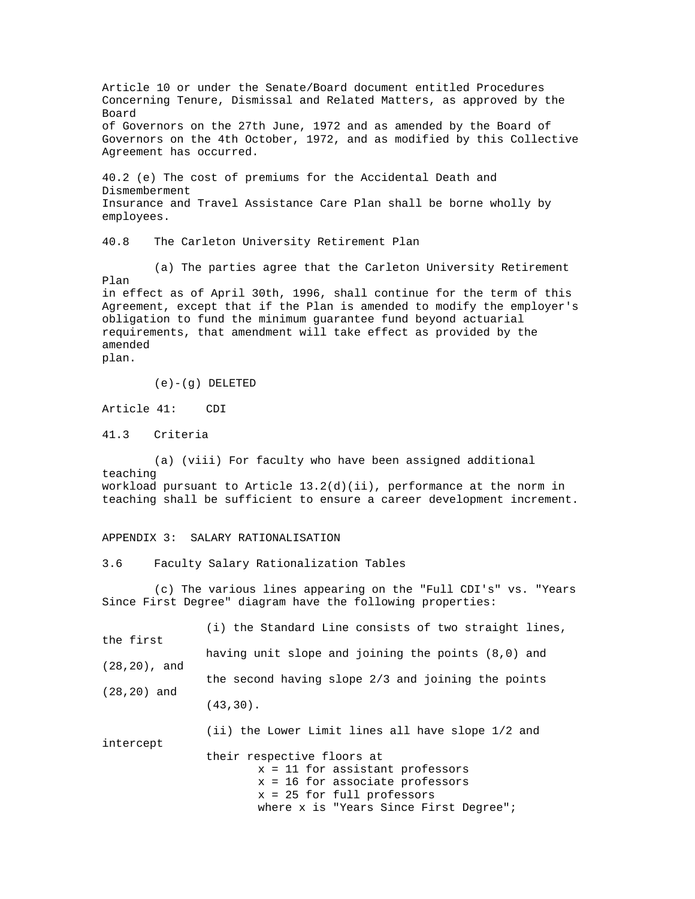Article 10 or under the Senate/Board document entitled Procedures Concerning Tenure, Dismissal and Related Matters, as approved by the Board of Governors on the 27th June, 1972 and as amended by the Board of Governors on the 4th October, 1972, and as modified by this Collective Agreement has occurred. 40.2 (e) The cost of premiums for the Accidental Death and Dismemberment Insurance and Travel Assistance Care Plan shall be borne wholly by employees. 40.8 The Carleton University Retirement Plan (a) The parties agree that the Carleton University Retirement Plan in effect as of April 30th, 1996, shall continue for the term of this Agreement, except that if the Plan is amended to modify the employer's obligation to fund the minimum guarantee fund beyond actuarial requirements, that amendment will take effect as provided by the amended plan.  $(e) - (g)$  DELETED Article 41: CDI 41.3 Criteria (a) (viii) For faculty who have been assigned additional teaching workload pursuant to Article 13.2(d)(ii), performance at the norm in teaching shall be sufficient to ensure a career development increment. APPENDIX 3: SALARY RATIONALISATION 3.6 Faculty Salary Rationalization Tables (c) The various lines appearing on the "Full CDI's" vs. "Years Since First Degree" diagram have the following properties: (i) the Standard Line consists of two straight lines, the first having unit slope and joining the points (8,0) and (28,20), and the second having slope 2/3 and joining the points (28,20) and (43,30). (ii) the Lower Limit lines all have slope 1/2 and intercept their respective floors at x = 11 for assistant professors x = 16 for associate professors x = 25 for full professors where x is "Years Since First Degree";